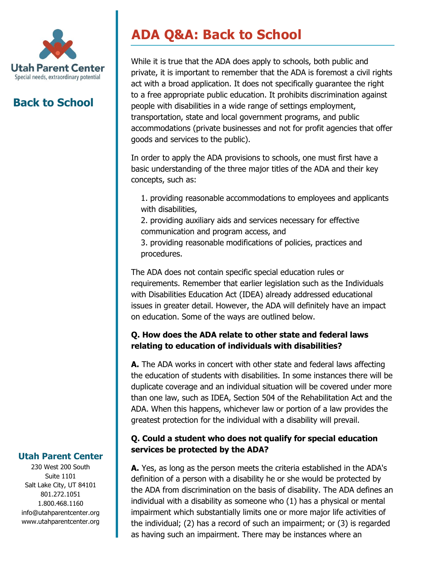

# **Back to School**

# **ADA Q&A: Back to School**

While it is true that the ADA does apply to schools, both public and private, it is important to remember that the ADA is foremost a civil rights act with a broad application. It does not specifically guarantee the right to a free appropriate public education. It prohibits discrimination against people with disabilities in a wide range of settings employment, transportation, state and local government programs, and public accommodations (private businesses and not for profit agencies that offer goods and services to the public).

In order to apply the ADA provisions to schools, one must first have a basic understanding of the three major titles of the ADA and their key concepts, such as:

1. providing reasonable accommodations to employees and applicants with disabilities,

2. providing auxiliary aids and services necessary for effective communication and program access, and

3. providing reasonable modifications of policies, practices and procedures.

The ADA does not contain specific special education rules or requirements. Remember that earlier legislation such as the Individuals with Disabilities Education Act (IDEA) already addressed educational issues in greater detail. However, the ADA will definitely have an impact on education. Some of the ways are outlined below.

# **Q. How does the ADA relate to other state and federal laws relating to education of individuals with disabilities?**

**A.** The ADA works in concert with other state and federal laws affecting the education of students with disabilities. In some instances there will be duplicate coverage and an individual situation will be covered under more than one law, such as IDEA, Section 504 of the Rehabilitation Act and the ADA. When this happens, whichever law or portion of a law provides the greatest protection for the individual with a disability will prevail.

### **Q. Could a student who does not qualify for special education services be protected by the ADA?**

**A.** Yes, as long as the person meets the criteria established in the ADA's definition of a person with a disability he or she would be protected by the ADA from discrimination on the basis of disability. The ADA defines an individual with a disability as someone who (1) has a physical or mental impairment which substantially limits one or more major life activities of the individual; (2) has a record of such an impairment; or (3) is regarded as having such an impairment. There may be instances where an

#### **Utah Parent Center**

230 West 200 South Suite 1101 Salt Lake City, UT 84101 801.272.1051 1.800.468.1160 info@utahparentcenter.org www.utahparentcenter.org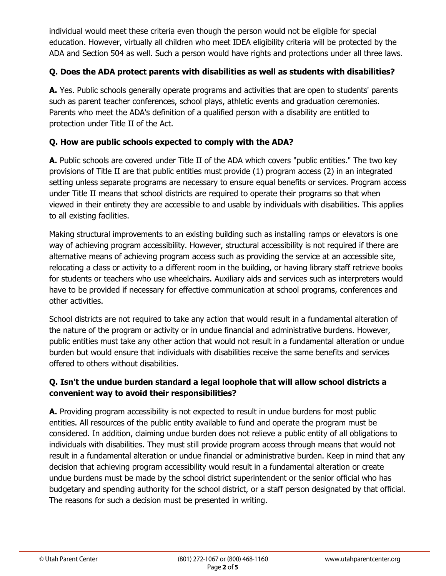individual would meet these criteria even though the person would not be eligible for special education. However, virtually all children who meet IDEA eligibility criteria will be protected by the ADA and Section 504 as well. Such a person would have rights and protections under all three laws.

#### **Q. Does the ADA protect parents with disabilities as well as students with disabilities?**

**A.** Yes. Public schools generally operate programs and activities that are open to students' parents such as parent teacher conferences, school plays, athletic events and graduation ceremonies. Parents who meet the ADA's definition of a qualified person with a disability are entitled to protection under Title II of the Act.

#### **Q. How are public schools expected to comply with the ADA?**

**A.** Public schools are covered under Title II of the ADA which covers "public entities." The two key provisions of Title II are that public entities must provide (1) program access (2) in an integrated setting unless separate programs are necessary to ensure equal benefits or services. Program access under Title II means that school districts are required to operate their programs so that when viewed in their entirety they are accessible to and usable by individuals with disabilities. This applies to all existing facilities.

Making structural improvements to an existing building such as installing ramps or elevators is one way of achieving program accessibility. However, structural accessibility is not required if there are alternative means of achieving program access such as providing the service at an accessible site, relocating a class or activity to a different room in the building, or having library staff retrieve books for students or teachers who use wheelchairs. Auxiliary aids and services such as interpreters would have to be provided if necessary for effective communication at school programs, conferences and other activities.

School districts are not required to take any action that would result in a fundamental alteration of the nature of the program or activity or in undue financial and administrative burdens. However, public entities must take any other action that would not result in a fundamental alteration or undue burden but would ensure that individuals with disabilities receive the same benefits and services offered to others without disabilities.

#### **Q. Isn't the undue burden standard a legal loophole that will allow school districts a convenient way to avoid their responsibilities?**

**A.** Providing program accessibility is not expected to result in undue burdens for most public entities. All resources of the public entity available to fund and operate the program must be considered. In addition, claiming undue burden does not relieve a public entity of all obligations to individuals with disabilities. They must still provide program access through means that would not result in a fundamental alteration or undue financial or administrative burden. Keep in mind that any decision that achieving program accessibility would result in a fundamental alteration or create undue burdens must be made by the school district superintendent or the senior official who has budgetary and spending authority for the school district, or a staff person designated by that official. The reasons for such a decision must be presented in writing.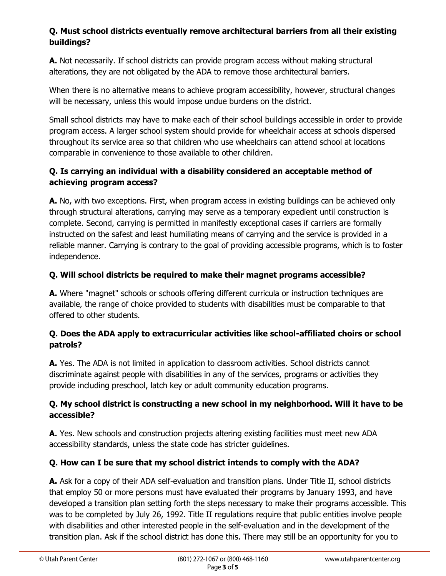# **Q. Must school districts eventually remove architectural barriers from all their existing buildings?**

**A.** Not necessarily. If school districts can provide program access without making structural alterations, they are not obligated by the ADA to remove those architectural barriers.

When there is no alternative means to achieve program accessibility, however, structural changes will be necessary, unless this would impose undue burdens on the district.

Small school districts may have to make each of their school buildings accessible in order to provide program access. A larger school system should provide for wheelchair access at schools dispersed throughout its service area so that children who use wheelchairs can attend school at locations comparable in convenience to those available to other children.

# **Q. Is carrying an individual with a disability considered an acceptable method of achieving program access?**

**A.** No, with two exceptions. First, when program access in existing buildings can be achieved only through structural alterations, carrying may serve as a temporary expedient until construction is complete. Second, carrying is permitted in manifestly exceptional cases if carriers are formally instructed on the safest and least humiliating means of carrying and the service is provided in a reliable manner. Carrying is contrary to the goal of providing accessible programs, which is to foster independence.

### **Q. Will school districts be required to make their magnet programs accessible?**

**A.** Where "magnet" schools or schools offering different curricula or instruction techniques are available, the range of choice provided to students with disabilities must be comparable to that offered to other students.

### **Q. Does the ADA apply to extracurricular activities like school-affiliated choirs or school patrols?**

**A.** Yes. The ADA is not limited in application to classroom activities. School districts cannot discriminate against people with disabilities in any of the services, programs or activities they provide including preschool, latch key or adult community education programs.

### **Q. My school district is constructing a new school in my neighborhood. Will it have to be accessible?**

**A.** Yes. New schools and construction projects altering existing facilities must meet new ADA accessibility standards, unless the state code has stricter guidelines.

# **Q. How can I be sure that my school district intends to comply with the ADA?**

**A.** Ask for a copy of their ADA self-evaluation and transition plans. Under Title II, school districts that employ 50 or more persons must have evaluated their programs by January 1993, and have developed a transition plan setting forth the steps necessary to make their programs accessible. This was to be completed by July 26, 1992. Title II regulations require that public entities involve people with disabilities and other interested people in the self-evaluation and in the development of the transition plan. Ask if the school district has done this. There may still be an opportunity for you to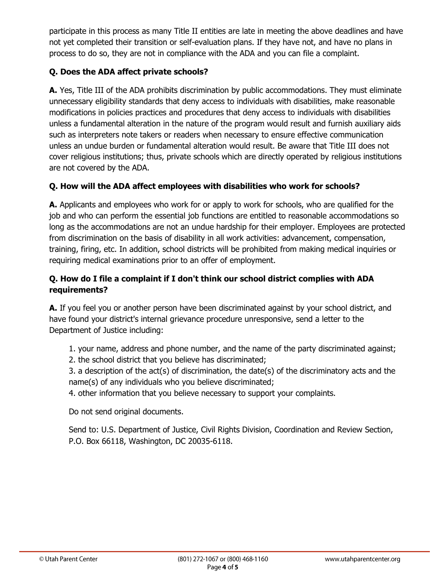participate in this process as many Title II entities are late in meeting the above deadlines and have not yet completed their transition or self-evaluation plans. If they have not, and have no plans in process to do so, they are not in compliance with the ADA and you can file a complaint.

# **Q. Does the ADA affect private schools?**

**A.** Yes, Title III of the ADA prohibits discrimination by public accommodations. They must eliminate unnecessary eligibility standards that deny access to individuals with disabilities, make reasonable modifications in policies practices and procedures that deny access to individuals with disabilities unless a fundamental alteration in the nature of the program would result and furnish auxiliary aids such as interpreters note takers or readers when necessary to ensure effective communication unless an undue burden or fundamental alteration would result. Be aware that Title III does not cover religious institutions; thus, private schools which are directly operated by religious institutions are not covered by the ADA.

### **Q. How will the ADA affect employees with disabilities who work for schools?**

**A.** Applicants and employees who work for or apply to work for schools, who are qualified for the job and who can perform the essential job functions are entitled to reasonable accommodations so long as the accommodations are not an undue hardship for their employer. Employees are protected from discrimination on the basis of disability in all work activities: advancement, compensation, training, firing, etc. In addition, school districts will be prohibited from making medical inquiries or requiring medical examinations prior to an offer of employment.

# **Q. How do I file a complaint if I don't think our school district complies with ADA requirements?**

**A.** If you feel you or another person have been discriminated against by your school district, and have found your district's internal grievance procedure unresponsive, send a letter to the Department of Justice including:

1. your name, address and phone number, and the name of the party discriminated against;

2. the school district that you believe has discriminated;

3. a description of the act(s) of discrimination, the date(s) of the discriminatory acts and the name(s) of any individuals who you believe discriminated;

4. other information that you believe necessary to support your complaints.

Do not send original documents.

Send to: U.S. Department of Justice, Civil Rights Division, Coordination and Review Section, P.O. Box 66118, Washington, DC 20035-6118.